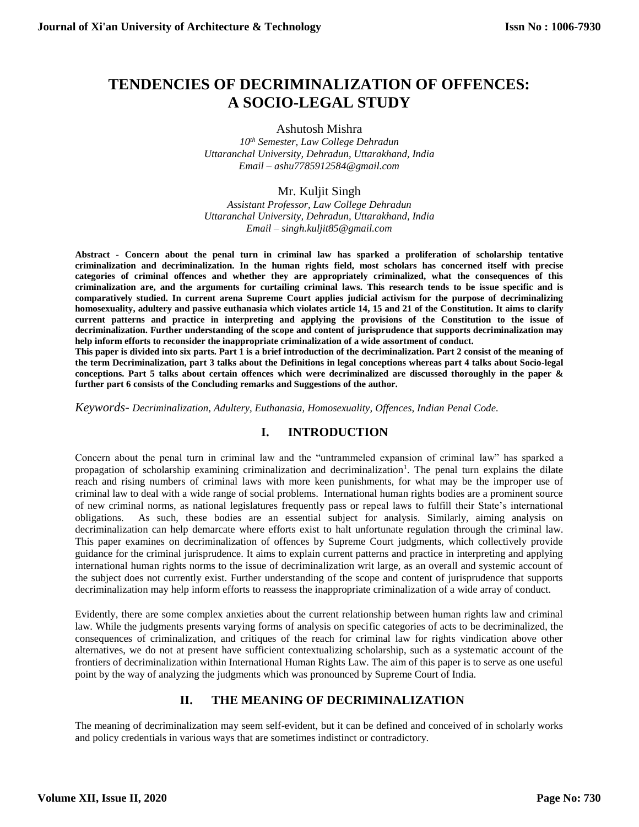# **TENDENCIES OF DECRIMINALIZATION OF OFFENCES: A SOCIO-LEGAL STUDY**

#### Ashutosh Mishra

*10th Semester, Law College Dehradun Uttaranchal University, Dehradun, Uttarakhand, India Email – ashu7785912584@gmail.com*

## Mr. Kuljit Singh

*Assistant Professor, Law College Dehradun Uttaranchal University, Dehradun, Uttarakhand, India Email – singh.kuljit85@gmail.com*

**Abstract - Concern about the penal turn in criminal law has sparked a proliferation of scholarship tentative criminalization and decriminalization. In the human rights field, most scholars has concerned itself with precise categories of criminal offences and whether they are appropriately criminalized, what the consequences of this criminalization are, and the arguments for curtailing criminal laws. This research tends to be issue specific and is comparatively studied. In current arena Supreme Court applies judicial activism for the purpose of decriminalizing homosexuality, adultery and passive euthanasia which violates article 14, 15 and 21 of the Constitution. It aims to clarify current patterns and practice in interpreting and applying the provisions of the Constitution to the issue of decriminalization. Further understanding of the scope and content of jurisprudence that supports decriminalization may help inform efforts to reconsider the inappropriate criminalization of a wide assortment of conduct.**

**This paper is divided into six parts. Part 1 is a brief introduction of the decriminalization. Part 2 consist of the meaning of the term Decriminalization, part 3 talks about the Definitions in legal conceptions whereas part 4 talks about Socio-legal conceptions. Part 5 talks about certain offences which were decriminalized are discussed thoroughly in the paper & further part 6 consists of the Concluding remarks and Suggestions of the author.**

*Keywords- Decriminalization, Adultery, Euthanasia, Homosexuality, Offences, Indian Penal Code.* 

# **I. INTRODUCTION**

Concern about the penal turn in criminal law and the "untrammeled expansion of criminal law" has sparked a propagation of scholarship examining criminalization and decriminalization<sup>1</sup>. The penal turn explains the dilate reach and rising numbers of criminal laws with more keen punishments, for what may be the improper use of criminal law to deal with a wide range of social problems. International human rights bodies are a prominent source of new criminal norms, as national legislatures frequently pass or repeal laws to fulfill their State's international obligations. As such, these bodies are an essential subject for analysis. Similarly, aiming analysis on decriminalization can help demarcate where efforts exist to halt unfortunate regulation through the criminal law. This paper examines on decriminalization of offences by Supreme Court judgments, which collectively provide guidance for the criminal jurisprudence. It aims to explain current patterns and practice in interpreting and applying international human rights norms to the issue of decriminalization writ large, as an overall and systemic account of the subject does not currently exist. Further understanding of the scope and content of jurisprudence that supports decriminalization may help inform efforts to reassess the inappropriate criminalization of a wide array of conduct.

Evidently, there are some complex anxieties about the current relationship between human rights law and criminal law. While the judgments presents varying forms of analysis on specific categories of acts to be decriminalized, the consequences of criminalization, and critiques of the reach for criminal law for rights vindication above other alternatives, we do not at present have sufficient contextualizing scholarship, such as a systematic account of the frontiers of decriminalization within International Human Rights Law. The aim of this paper is to serve as one useful point by the way of analyzing the judgments which was pronounced by Supreme Court of India.

# **II. THE MEANING OF DECRIMINALIZATION**

The meaning of decriminalization may seem self-evident, but it can be defined and conceived of in scholarly works and policy credentials in various ways that are sometimes indistinct or contradictory.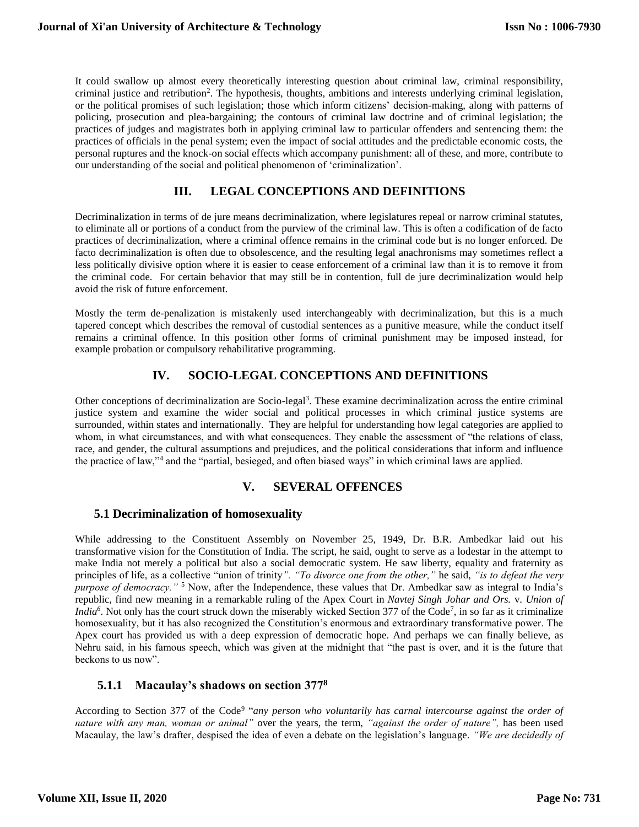It could swallow up almost every theoretically interesting question about criminal law, criminal responsibility, criminal justice and retribution<sup>2</sup>. The hypothesis, thoughts, ambitions and interests underlying criminal legislation, or the political promises of such legislation; those which inform citizens' decision-making, along with patterns of policing, prosecution and plea-bargaining; the contours of criminal law doctrine and of criminal legislation; the practices of judges and magistrates both in applying criminal law to particular offenders and sentencing them: the practices of officials in the penal system; even the impact of social attitudes and the predictable economic costs, the personal ruptures and the knock-on social effects which accompany punishment: all of these, and more, contribute to our understanding of the social and political phenomenon of 'criminalization'.

## **III. LEGAL CONCEPTIONS AND DEFINITIONS**

Decriminalization in terms of de jure means decriminalization, where legislatures repeal or narrow criminal statutes, to eliminate all or portions of a conduct from the purview of the criminal law. This is often a codification of de facto practices of decriminalization, where a criminal offence remains in the criminal code but is no longer enforced. De facto decriminalization is often due to obsolescence, and the resulting legal anachronisms may sometimes reflect a less politically divisive option where it is easier to cease enforcement of a criminal law than it is to remove it from the criminal code. For certain behavior that may still be in contention, full de jure decriminalization would help avoid the risk of future enforcement.

Mostly the term de-penalization is mistakenly used interchangeably with decriminalization, but this is a much tapered concept which describes the removal of custodial sentences as a punitive measure, while the conduct itself remains a criminal offence. In this position other forms of criminal punishment may be imposed instead, for example probation or compulsory rehabilitative programming.

# **IV. SOCIO-LEGAL CONCEPTIONS AND DEFINITIONS**

Other conceptions of decriminalization are Socio-legal<sup>3</sup>. These examine decriminalization across the entire criminal justice system and examine the wider social and political processes in which criminal justice systems are surrounded, within states and internationally. They are helpful for understanding how legal categories are applied to whom, in what circumstances, and with what consequences. They enable the assessment of "the relations of class, race, and gender, the cultural assumptions and prejudices, and the political considerations that inform and influence the practice of law,"<sup>4</sup> and the "partial, besieged, and often biased ways" in which criminal laws are applied.

## **V. SEVERAL OFFENCES**

## **5.1 Decriminalization of homosexuality**

While addressing to the Constituent Assembly on November 25, 1949, Dr. B.R. Ambedkar laid out his transformative vision for the Constitution of India. The script, he said, ought to serve as a lodestar in the attempt to make India not merely a political but also a social democratic system. He saw liberty, equality and fraternity as principles of life, as a collective "union of trinity*". "To divorce one from the other,"* he said, *"is to defeat the very purpose of democracy.*"<sup>5</sup> Now, after the Independence, these values that Dr. Ambedkar saw as integral to India's republic, find new meaning in a remarkable ruling of the Apex Court in *Navtej Singh Johar and Ors.* v. *Union of India*<sup>6</sup>. Not only has the court struck down the miserably wicked Section 377 of the Code<sup>7</sup>, in so far as it criminalize homosexuality, but it has also recognized the Constitution's enormous and extraordinary transformative power. The Apex court has provided us with a deep expression of democratic hope. And perhaps we can finally believe, as Nehru said, in his famous speech, which was given at the midnight that "the past is over, and it is the future that beckons to us now".

# **5.1.1 Macaulay's shadows on section 377<sup>8</sup>**

According to Section 377 of the Code<sup>9</sup> "any person who voluntarily has *carnal intercourse against the order of nature with any man, woman or animal"* over the years, the term, *"against the order of nature",* has been used Macaulay, the law's drafter, despised the idea of even a debate on the legislation's language. *"We are decidedly of*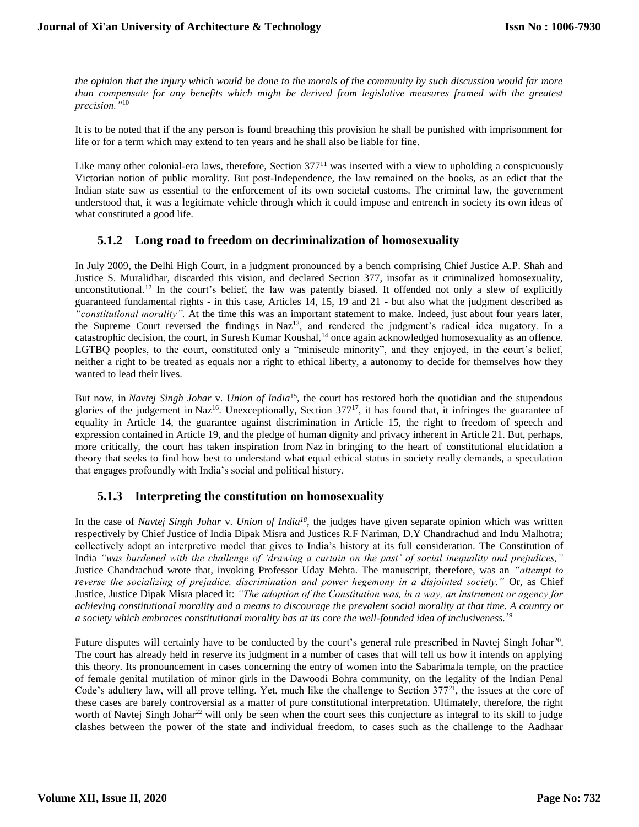*the opinion that the injury which would be done to the morals of the community by such discussion would far more than compensate for any benefits which might be derived from legislative measures framed with the greatest precision."*<sup>10</sup>

It is to be noted that if the any person is found breaching this provision he shall be punished with imprisonment for life or for a term which may extend to ten years and he shall also be liable for fine.

Like many other colonial-era laws, therefore, Section 377<sup>11</sup> was inserted with a view to upholding a conspicuously Victorian notion of public morality. But post-Independence, the law remained on the books, as an edict that the Indian state saw as essential to the enforcement of its own societal customs. The criminal law, the government understood that, it was a legitimate vehicle through which it could impose and entrench in society its own ideas of what constituted a good life.

## **5.1.2 Long road to freedom on decriminalization of homosexuality**

In July 2009, the Delhi High Court, in a judgment pronounced by a bench comprising Chief Justice A.P. Shah and Justice S. Muralidhar, discarded this vision, and declared Section 377, insofar as it criminalized homosexuality, unconstitutional.<sup>12</sup> In the court's belief, the law was patently biased. It offended not only a slew of explicitly guaranteed fundamental rights - in this case, Articles 14, 15, 19 and 21 - but also what the judgment described as *"constitutional morality".* At the time this was an important statement to make. Indeed, just about four years later, the Supreme Court reversed the findings in Naz<sup>13</sup>, and rendered the judgment's radical idea nugatory. In a catastrophic decision, the court, in Suresh Kumar Koushal,<sup>14</sup> once again acknowledged homosexuality as an offence. LGTBQ peoples, to the court, constituted only a "miniscule minority", and they enjoyed, in the court's belief, neither a right to be treated as equals nor a right to ethical liberty, a autonomy to decide for themselves how they wanted to lead their lives.

But now, in *Navtej Singh Johar* v. *Union of India*<sup>15</sup>, the court has restored both the quotidian and the stupendous glories of the judgement in Naz<sup>16</sup>. Unexceptionally, Section  $377^{17}$ , it has found that, it infringes the guarantee of equality in Article 14, the guarantee against discrimination in Article 15, the right to freedom of speech and expression contained in Article 19, and the pledge of human dignity and privacy inherent in Article 21. But, perhaps, more critically, the court has taken inspiration from Naz in bringing to the heart of constitutional elucidation a theory that seeks to find how best to understand what equal ethical status in society really demands, a speculation that engages profoundly with India's social and political history.

# **5.1.3 Interpreting the constitution on homosexuality**

In the case of *Navtej Singh Johar* v. *Union of India<sup>18</sup>*, the judges have given separate opinion which was written respectively by Chief Justice of India Dipak Misra and Justices R.F Nariman, D.Y Chandrachud and Indu Malhotra; collectively adopt an interpretive model that gives to India's history at its full consideration. The Constitution of India *"was burdened with the challenge of 'drawing a curtain on the past' of social inequality and prejudices,"* Justice Chandrachud wrote that, invoking Professor Uday Mehta. The manuscript, therefore, was an *"attempt to reverse the socializing of prejudice, discrimination and power hegemony in a disjointed society."* Or, as Chief Justice, Justice Dipak Misra placed it: *"The adoption of the Constitution was, in a way, an instrument or agency for achieving constitutional morality and a means to discourage the prevalent social morality at that time. A country or a society which embraces constitutional morality has at its core the well-founded idea of inclusiveness.<sup>19</sup>*

Future disputes will certainly have to be conducted by the court's general rule prescribed in Navtej Singh Johar<sup>20</sup>. The court has already held in reserve its judgment in a number of cases that will tell us how it intends on applying this theory. Its pronouncement in cases concerning the entry of women into the Sabarimala temple, on the practice of female genital mutilation of minor girls in the Dawoodi Bohra community, on the legality of the Indian Penal Code's adultery law, will all prove telling. Yet, much like the challenge to Section 377<sup>21</sup>, the issues at the core of these cases are barely controversial as a matter of pure constitutional interpretation. Ultimately, therefore, the right worth of Navtej Singh Johar<sup>22</sup> will only be seen when the court sees this conjecture as integral to its skill to judge clashes between the power of the state and individual freedom, to cases such as the challenge to the Aadhaar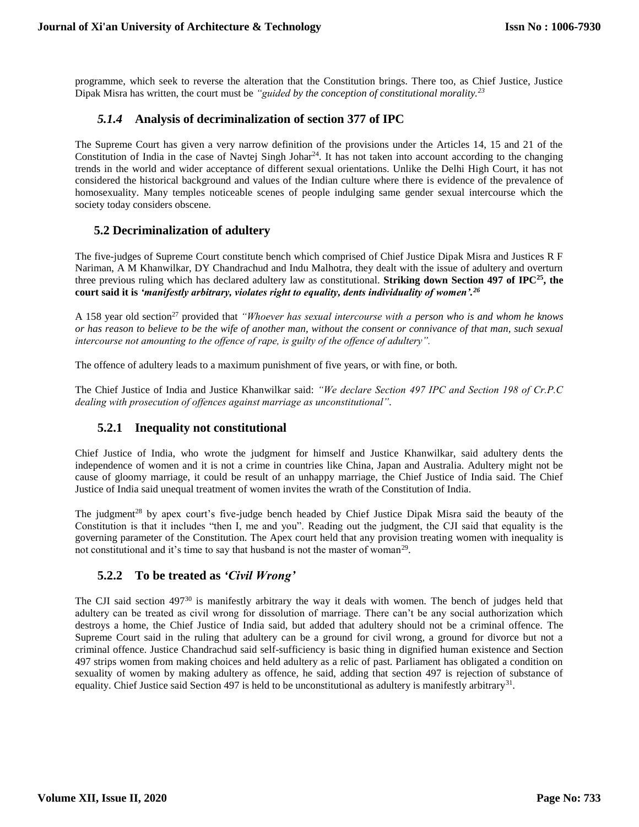programme, which seek to reverse the alteration that the Constitution brings. There too, as Chief Justice, Justice Dipak Misra has written, the court must be *"guided by the conception of constitutional morality.<sup>23</sup>*

## *5.1.4* **Analysis of decriminalization of section 377 of IPC**

The Supreme Court has given a very narrow definition of the provisions under the Articles 14, 15 and 21 of the Constitution of India in the case of Navtej Singh Johar<sup>24</sup>. It has not taken into account according to the changing trends in the world and wider acceptance of different sexual orientations. Unlike the Delhi High Court, it has not considered the historical background and values of the Indian culture where there is evidence of the prevalence of homosexuality. Many temples noticeable scenes of people indulging same gender sexual intercourse which the society today considers obscene.

## **5.2 Decriminalization of adultery**

The five-judges of Supreme Court constitute bench which comprised of Chief Justice Dipak Misra and Justices R F Nariman, A M Khanwilkar, DY Chandrachud and Indu Malhotra, they dealt with the issue of adultery and overturn three previous ruling which has declared adultery law as constitutional. **Striking down Section 497 of IPC<sup>25</sup>, the court said it is** *'manifestly arbitrary, violates right to equality, dents individuality of women'.<sup>26</sup>*

A 158 year old section<sup>27</sup> provided that *"Whoever has sexual intercourse with a person who is and whom he knows or has reason to believe to be the wife of another man, without the consent or connivance of that man, such sexual intercourse not amounting to the offence of rape, is guilty of the offence of adultery".*

The offence of adultery leads to a maximum punishment of five years, or with fine, or both.

The Chief Justice of India and Justice Khanwilkar said: *"We declare Section 497 IPC and Section 198 of Cr.P.C dealing with prosecution of offences against marriage as unconstitutional".*

# **5.2.1 Inequality not constitutional**

Chief Justice of India, who wrote the judgment for himself and Justice Khanwilkar, said adultery dents the independence of women and it is not a crime in countries like China, Japan and Australia. Adultery might not be cause of gloomy marriage, it could be result of an unhappy marriage, the Chief Justice of India said. The Chief Justice of India said unequal treatment of women invites the wrath of the Constitution of India.

The judgment<sup>28</sup> by apex court's five-judge bench headed by Chief Justice Dipak Misra said the beauty of the Constitution is that it includes "then I, me and you". Reading out the judgment, the CJI said that equality is the governing parameter of the Constitution. The Apex court held that any provision treating women with inequality is not constitutional and it's time to say that husband is not the master of woman<sup>29</sup>.

## **5.2.2 To be treated as** *'Civil Wrong'*

The CJI said section  $497^{30}$  is manifestly arbitrary the way it deals with women. The bench of judges held that adultery can be treated as civil wrong for dissolution of marriage. There can't be any social authorization which destroys a home, the Chief Justice of India said, but added that adultery should not be a criminal offence. The Supreme Court said in the ruling that adultery can be a ground for civil wrong, a ground for divorce but not a criminal offence. Justice Chandrachud said self-sufficiency is basic thing in dignified human existence and Section 497 strips women from making choices and held adultery as a relic of past. Parliament has obligated a condition on sexuality of women by making adultery as offence, he said, adding that section 497 is rejection of substance of equality. Chief Justice said Section 497 is held to be unconstitutional as adultery is manifestly arbitrary<sup>31</sup>.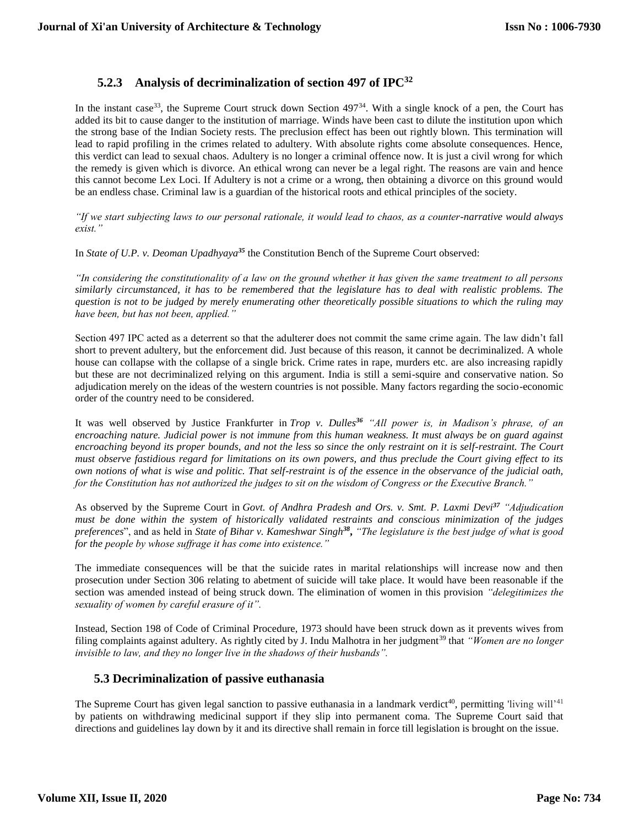# **5.2.3 Analysis of decriminalization of section 497 of IPC<sup>32</sup>**

In the instant case<sup>33</sup>, the Supreme Court struck down Section  $497<sup>34</sup>$ . With a single knock of a pen, the Court has added its bit to cause danger to the institution of marriage. Winds have been cast to dilute the institution upon which the strong base of the Indian Society rests. The preclusion effect has been out rightly blown. This termination will lead to rapid profiling in the crimes related to adultery. With absolute rights come absolute consequences. Hence, this verdict can lead to sexual chaos. Adultery is no longer a criminal offence now. It is just a civil wrong for which the remedy is given which is divorce. An ethical wrong can never be a legal right. The reasons are vain and hence this cannot become Lex Loci. If Adultery is not a crime or a wrong, then obtaining a divorce on this ground would be an endless chase. Criminal law is a guardian of the historical roots and ethical principles of the society.

*"If we start subjecting laws to our personal rationale, it would lead to chaos, as a counter-narrative would always exist."*

In *State of U.P. v. Deoman Upadhyaya<sup>35</sup>* the Constitution Bench of the Supreme Court observed:

*"In considering the constitutionality of a law on the ground whether it has given the same treatment to all persons similarly circumstanced, it has to be remembered that the legislature has to deal with realistic problems. The question is not to be judged by merely enumerating other theoretically possible situations to which the ruling may have been, but has not been, applied."*

Section 497 IPC acted as a deterrent so that the adulterer does not commit the same crime again. The law didn't fall short to prevent adultery, but the enforcement did. Just because of this reason, it cannot be decriminalized. A whole house can collapse with the collapse of a single brick. Crime rates in rape, murders etc. are also increasing rapidly but these are not decriminalized relying on this argument. India is still a semi-squire and conservative nation. So adjudication merely on the ideas of the western countries is not possible. Many factors regarding the socio-economic order of the country need to be considered.

It was well observed by Justice Frankfurter in *Trop v. Dulles<sup>36</sup> "All power is, in Madison's phrase, of an encroaching nature. Judicial power is not immune from this human weakness. It must always be on guard against encroaching beyond its proper bounds, and not the less so since the only restraint on it is self-restraint. The Court must observe fastidious regard for limitations on its own powers, and thus preclude the Court giving effect to its own notions of what is wise and politic. That self-restraint is of the essence in the observance of the judicial oath, for the Constitution has not authorized the judges to sit on the wisdom of Congress or the Executive Branch."*

As observed by the Supreme Court in *Govt. of Andhra Pradesh and Ors. v. Smt. P. Laxmi Devi<sup>37</sup> "Adjudication must be done within the system of historically validated restraints and conscious minimization of the judges preferences*", and as held in *State of Bihar v. Kameshwar Singh<sup>38</sup>* **,** *"The legislature is the best judge of what is good for the people by whose suffrage it has come into existence."*

The immediate consequences will be that the suicide rates in marital relationships will increase now and then prosecution under Section 306 relating to abetment of suicide will take place. It would have been reasonable if the section was amended instead of being struck down. The elimination of women in this provision *"delegitimizes the sexuality of women by careful erasure of it".*

Instead, Section 198 of Code of Criminal Procedure, 1973 should have been struck down as it prevents wives from filing complaints against adultery. As rightly cited by J. Indu Malhotra in her judgment<sup>39</sup> that "Women are no longer *invisible to law, and they no longer live in the shadows of their husbands".*

## **5.3 Decriminalization of passive euthanasia**

The Supreme Court has given legal sanction to passive euthanasia in a landmark verdict<sup>40</sup>, permitting 'living will'<sup>41</sup> by patients on withdrawing medicinal support if they slip into permanent coma. The Supreme Court said that directions and guidelines lay down by it and its directive shall remain in force till legislation is brought on the issue.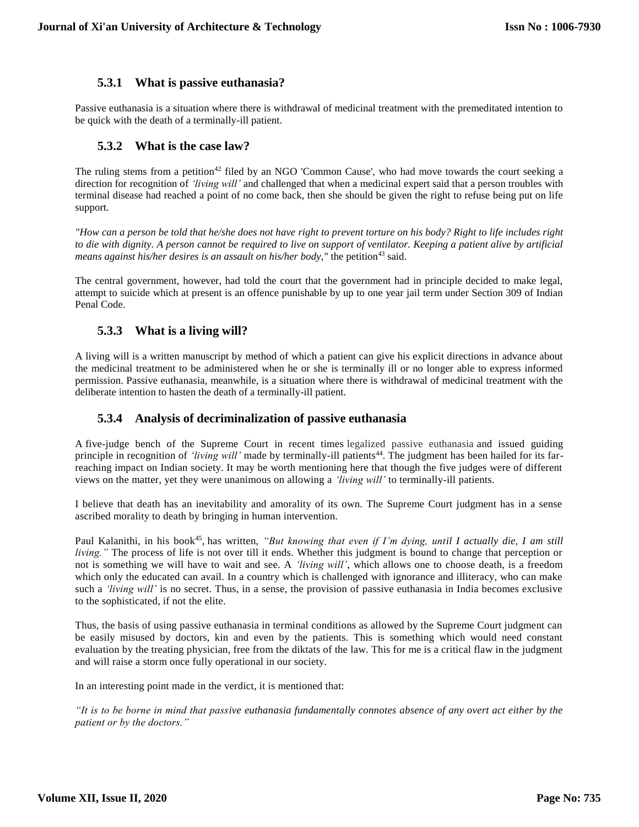## **5.3.1 What is passive euthanasia?**

Passive euthanasia is a situation where there is withdrawal of medicinal treatment with the premeditated intention to be quick with the death of a terminally-ill patient.

## **5.3.2 What is the case law?**

The ruling stems from a petition<sup>42</sup> filed by an NGO 'Common Cause', who had move towards the court seeking a direction for recognition of *'living will'* and challenged that when a medicinal expert said that a person troubles with terminal disease had reached a point of no come back, then she should be given the right to refuse being put on life support.

*"How can a person be told that he/she does not have right to prevent torture on his body? Right to life includes right to die with dignity. A person cannot be required to live on support of ventilator. Keeping a patient alive by artificial means against his/her desires is an assault on his/her body,*" the petition<sup>43</sup> said.

The central government, however, had told the court that the government had in principle decided to make legal, attempt to suicide which at present is an offence punishable by up to one year jail term under Section 309 of Indian Penal Code.

## **5.3.3 What is a living will?**

A living will is a written manuscript by method of which a patient can give his explicit directions in advance about the medicinal treatment to be administered when he or she is terminally ill or no longer able to express informed permission. Passive euthanasia, meanwhile, is a situation where there is withdrawal of medicinal treatment with the deliberate intention to hasten the death of a terminally-ill patient.

## **5.3.4 Analysis of decriminalization of passive euthanasia**

A five-judge bench of the Supreme Court in recent times legalized passive euthanasia and issued guiding principle in recognition of *'living will'* made by terminally-ill patients<sup>44</sup>. The judgment has been hailed for its farreaching impact on Indian society. It may be worth mentioning here that though the five judges were of different views on the matter, yet they were unanimous on allowing a *'living will'* to terminally-ill patients.

I believe that death has an inevitability and amorality of its own. The Supreme Court judgment has in a sense ascribed morality to death by bringing in human intervention.

Paul Kalanithi, in his book<sup>45</sup>, has written, "But knowing that even if I'm dying, until I actually die, I am still *living."* The process of life is not over till it ends. Whether this judgment is bound to change that perception or not is something we will have to wait and see. A *'living will'*, which allows one to choose death, is a freedom which only the educated can avail. In a country which is challenged with ignorance and illiteracy, who can make such a *'living will'* is no secret. Thus, in a sense, the provision of passive euthanasia in India becomes exclusive to the sophisticated, if not the elite.

Thus, the basis of using passive euthanasia in terminal conditions as allowed by the Supreme Court judgment can be easily misused by doctors, kin and even by the patients. This is something which would need constant evaluation by the treating physician, free from the diktats of the law. This for me is a critical flaw in the judgment and will raise a storm once fully operational in our society.

In an interesting point made in the verdict, it is mentioned that:

*"It is to be borne in mind that passive euthanasia fundamentally connotes absence of any overt act either by the patient or by the doctors."*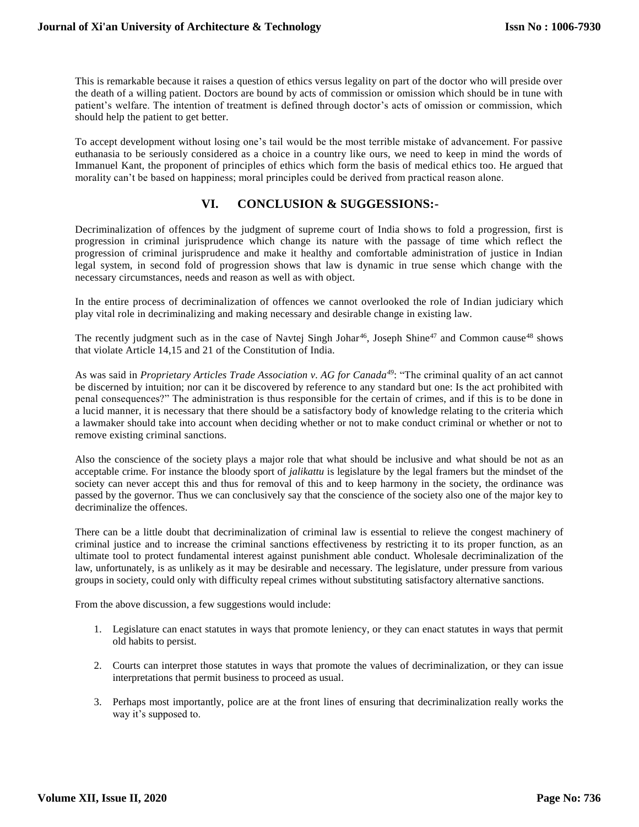This is remarkable because it raises a question of ethics versus legality on part of the doctor who will preside over the death of a willing patient. Doctors are bound by acts of commission or omission which should be in tune with patient's welfare. The intention of treatment is defined through doctor's acts of omission or commission, which should help the patient to get better.

To accept development without losing one's tail would be the most terrible mistake of advancement. For passive euthanasia to be seriously considered as a choice in a country like ours, we need to keep in mind the words of Immanuel Kant, the proponent of principles of ethics which form the basis of medical ethics too. He argued that morality can't be based on happiness; moral principles could be derived from practical reason alone.

# **VI. CONCLUSION & SUGGESSIONS:-**

Decriminalization of offences by the judgment of supreme court of India shows to fold a progression, first is progression in criminal jurisprudence which change its nature with the passage of time which reflect the progression of criminal jurisprudence and make it healthy and comfortable administration of justice in Indian legal system, in second fold of progression shows that law is dynamic in true sense which change with the necessary circumstances, needs and reason as well as with object.

In the entire process of decriminalization of offences we cannot overlooked the role of Indian judiciary which play vital role in decriminalizing and making necessary and desirable change in existing law.

The recently judgment such as in the case of Navtej Singh Johar<sup>46</sup>, Joseph Shine<sup>47</sup> and Common cause<sup>48</sup> shows that violate Article 14,15 and 21 of the Constitution of India.

As was said in *Proprietary Articles Trade Association v. AG for Canada<sup>49</sup>*: "The criminal quality of an act cannot be discerned by intuition; nor can it be discovered by reference to any standard but one: Is the act prohibited with penal consequences?" The administration is thus responsible for the certain of crimes, and if this is to be done in a lucid manner, it is necessary that there should be a satisfactory body of knowledge relating to the criteria which a lawmaker should take into account when deciding whether or not to make conduct criminal or whether or not to remove existing criminal sanctions.

Also the conscience of the society plays a major role that what should be inclusive and what should be not as an acceptable crime. For instance the bloody sport of *jalikattu* is legislature by the legal framers but the mindset of the society can never accept this and thus for removal of this and to keep harmony in the society, the ordinance was passed by the governor. Thus we can conclusively say that the conscience of the society also one of the major key to decriminalize the offences.

There can be a little doubt that decriminalization of criminal law is essential to relieve the congest machinery of criminal justice and to increase the criminal sanctions effectiveness by restricting it to its proper function, as an ultimate tool to protect fundamental interest against punishment able conduct. Wholesale decriminalization of the law, unfortunately, is as unlikely as it may be desirable and necessary. The legislature, under pressure from various groups in society, could only with difficulty repeal crimes without substituting satisfactory alternative sanctions.

From the above discussion, a few suggestions would include:

- 1. Legislature can enact statutes in ways that promote leniency, or they can enact statutes in ways that permit old habits to persist.
- 2. Courts can interpret those statutes in ways that promote the values of decriminalization, or they can issue interpretations that permit business to proceed as usual.
- 3. Perhaps most importantly, police are at the front lines of ensuring that decriminalization really works the way it's supposed to.